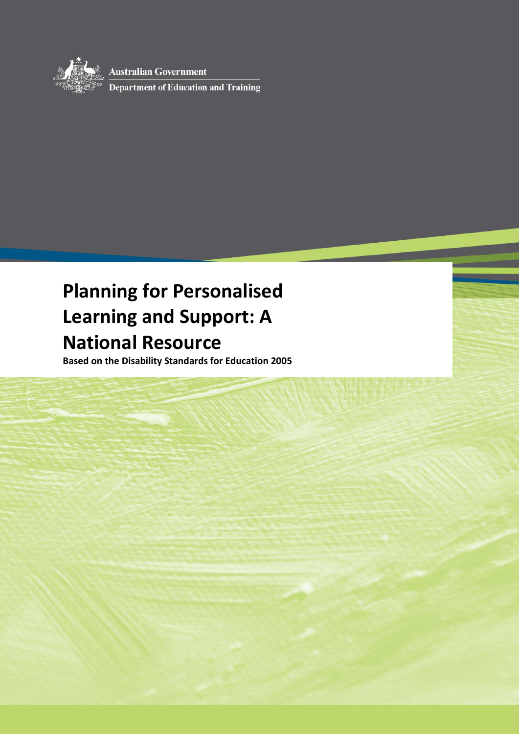

**Australian Government** 

Department of Education and Training

# **Planning for Personalised Learning and Support: A National Resource**

**Based on the Disability Standards for Education 2005**

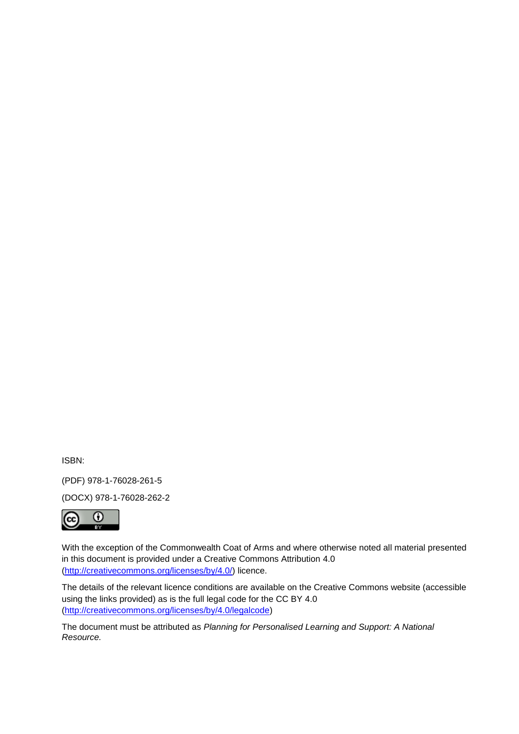ISBN:

(PDF) 978-1-76028-261-5

(DOCX) 978-1-76028-262-2



With the exception of the Commonwealth Coat of Arms and where otherwise noted all material presented in this document is provided under a Creative Commons Attribution 4.0 [\(http://creativecommons.org/licenses/by/4.0/\)](http://creativecommons.org/licenses/by/4.0/) licence.

The details of the relevant licence conditions are available on the Creative Commons website (accessible using the links provided) as is the full legal code for the CC BY 4.0 [\(http://creativecommons.org/licenses/by/4.0/legalcode\)](http://creativecommons.org/licenses/by/4.0/legalcode)

The document must be attributed as *Planning for Personalised Learning and Support: A National Resource.*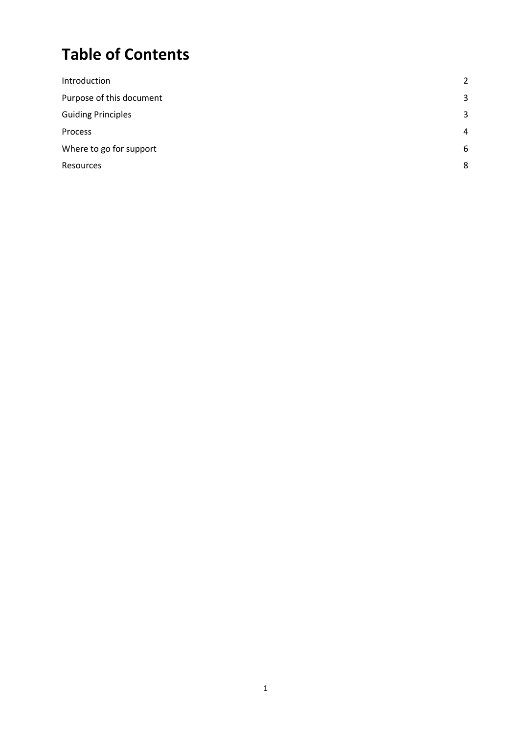# **Table of Contents**

| $\overline{2}$ |
|----------------|
| 3              |
| 3              |
| $\overline{4}$ |
| 6              |
| 8              |
|                |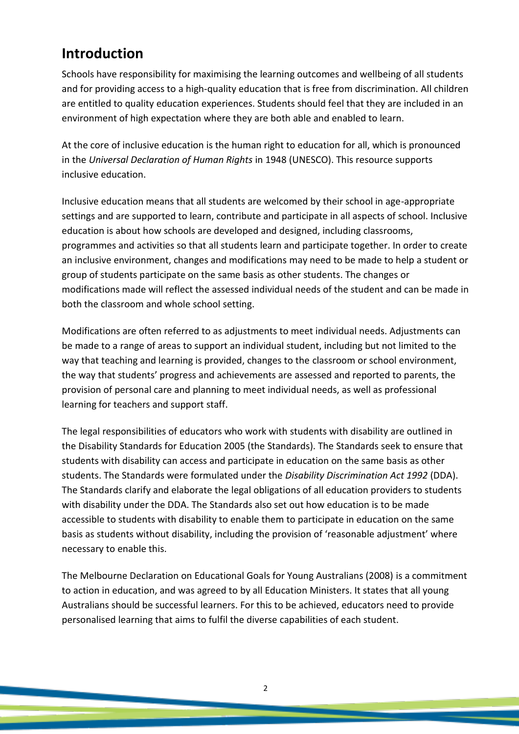### <span id="page-3-0"></span>**Introduction**

Schools have responsibility for maximising the learning outcomes and wellbeing of all students and for providing access to a high-quality education that is free from discrimination. All children are entitled to quality education experiences. Students should feel that they are included in an environment of high expectation where they are both able and enabled to learn.

At the core of inclusive education is the human right to education for all, which is pronounced in the *Universal Declaration of Human Rights* in 1948 (UNESCO). This resource supports inclusive education.

Inclusive education means that all students are welcomed by their school in age-appropriate settings and are supported to learn, contribute and participate in all aspects of school. Inclusive education is about how schools are developed and designed, including classrooms, programmes and activities so that all students learn and participate together. In order to create an inclusive environment, changes and modifications may need to be made to help a student or group of students participate on the same basis as other students. The changes or modifications made will reflect the assessed individual needs of the student and can be made in both the classroom and whole school setting.

Modifications are often referred to as adjustments to meet individual needs. Adjustments can be made to a range of areas to support an individual student, including but not limited to the way that teaching and learning is provided, changes to the classroom or school environment, the way that students' progress and achievements are assessed and reported to parents, the provision of personal care and planning to meet individual needs, as well as professional learning for teachers and support staff.

The legal responsibilities of educators who work with students with disability are outlined in the Disability Standards for Education 2005 (the Standards). The Standards seek to ensure that students with disability can access and participate in education on the same basis as other students. The Standards were formulated under the *Disability Discrimination Act 1992* (DDA). The Standards clarify and elaborate the legal obligations of all education providers to students with disability under the DDA. The Standards also set out how education is to be made accessible to students with disability to enable them to participate in education on the same basis as students without disability, including the provision of 'reasonable adjustment' where necessary to enable this.

The Melbourne Declaration on Educational Goals for Young Australians (2008) is a commitment to action in education, and was agreed to by all Education Ministers. It states that all young Australians should be successful learners. For this to be achieved, educators need to provide personalised learning that aims to fulfil the diverse capabilities of each student.

2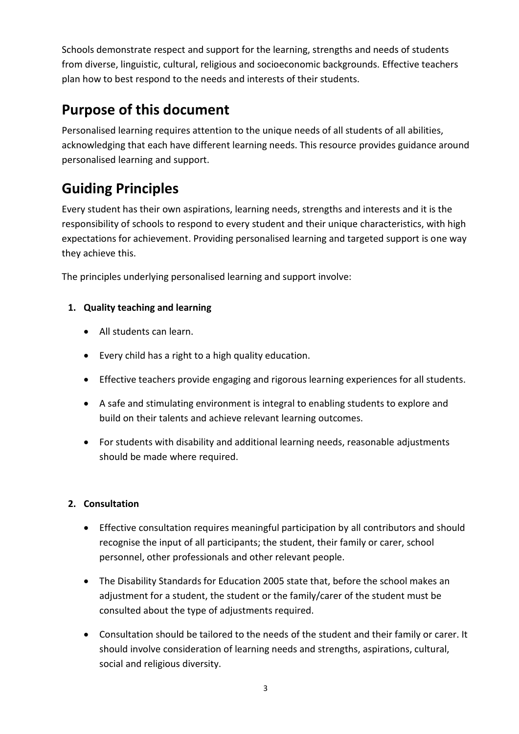Schools demonstrate respect and support for the learning, strengths and needs of students from diverse, linguistic, cultural, religious and socioeconomic backgrounds. Effective teachers plan how to best respond to the needs and interests of their students.

# <span id="page-4-0"></span>**Purpose of this document**

<span id="page-4-1"></span>Personalised learning requires attention to the unique needs of all students of all abilities, acknowledging that each have different learning needs. This resource provides guidance around personalised learning and support.

# **Guiding Principles**

Every student has their own aspirations, learning needs, strengths and interests and it is the responsibility of schools to respond to every student and their unique characteristics, with high expectations for achievement. Providing personalised learning and targeted support is one way they achieve this.

The principles underlying personalised learning and support involve:

#### **1. Quality teaching and learning**

- All students can learn.
- Every child has a right to a high quality education.
- Effective teachers provide engaging and rigorous learning experiences for all students.
- A safe and stimulating environment is integral to enabling students to explore and build on their talents and achieve relevant learning outcomes.
- For students with disability and additional learning needs, reasonable adjustments should be made where required.

#### **2. Consultation**

- Effective consultation requires meaningful participation by all contributors and should recognise the input of all participants; the student, their family or carer, school personnel, other professionals and other relevant people.
- The Disability Standards for Education 2005 state that, before the school makes an adjustment for a student, the student or the family/carer of the student must be consulted about the type of adjustments required.
- Consultation should be tailored to the needs of the student and their family or carer. It should involve consideration of learning needs and strengths, aspirations, cultural, social and religious diversity.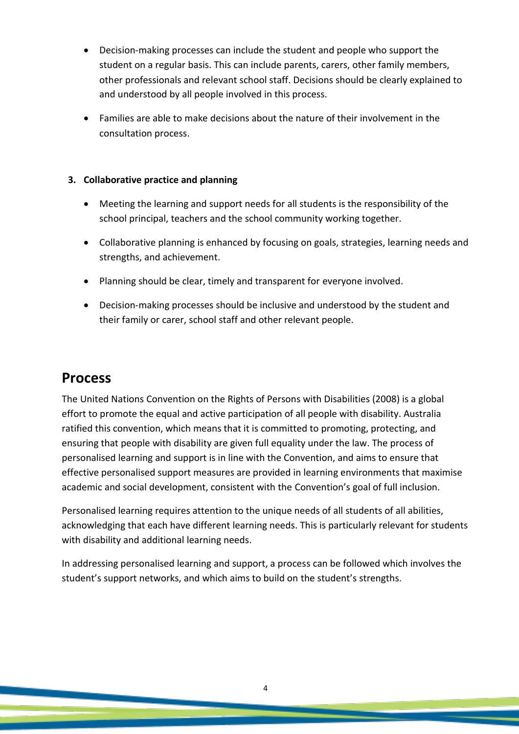- Decision-making processes can include the student and people who support the student on a regular basis. This can include parents, carers, other family members, other professionals and relevant school staff. Decisions should be clearly explained to and understood by all people involved in this process.
- Families are able to make decisions about the nature of their involvement in the consultation process.

#### **3. Collaborative practice and planning**

- Meeting the learning and support needs for all students is the responsibility of the school principal, teachers and the school community working together.
- Collaborative planning is enhanced by focusing on goals, strategies, learning needs and strengths, and achievement.
- Planning should be clear, timely and transparent for everyone involved.
- Decision-making processes should be inclusive and understood by the student and their family or carer, school staff and other relevant people.

### <span id="page-5-0"></span>**Process**

The United Nations Convention on the Rights of Persons with Disabilities (2008) is a global effort to promote the equal and active participation of all people with disability. Australia ratified this convention, which means that it is committed to promoting, protecting, and ensuring that people with disability are given full [equality under the law.](http://en.wikipedia.org/wiki/Equality_under_the_law) The process of personalised learning and support is in line with the Convention, and aims to ensure that effective personalised support measures are provided in learning environments that maximise academic and social development, consistent with the Convention's goal of full inclusion.

Personalised learning requires attention to the unique needs of all students of all abilities, acknowledging that each have different learning needs. This is particularly relevant for students with disability and additional learning needs.

In addressing personalised learning and support, a process can be followed which involves the student's support networks, and which aims to build on the student's strengths.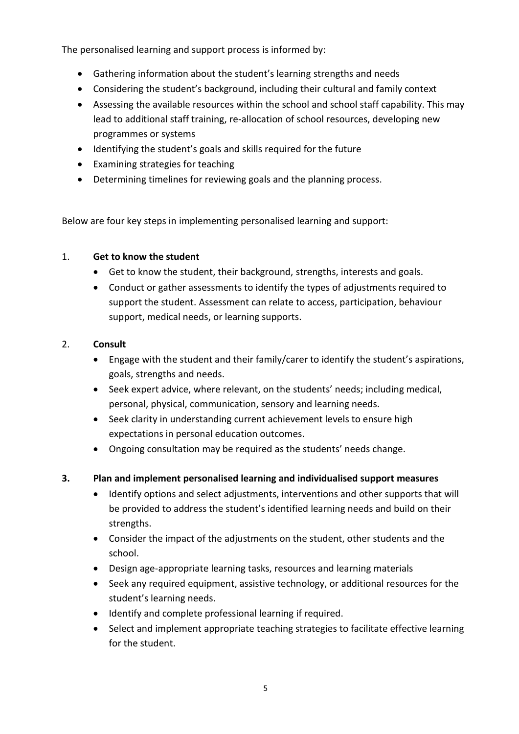The personalised learning and support process is informed by:

- Gathering information about the student's learning strengths and needs
- Considering the student's background, including their cultural and family context
- Assessing the available resources within the school and school staff capability. This may lead to additional staff training, re-allocation of school resources, developing new programmes or systems
- Identifying the student's goals and skills required for the future
- Examining strategies for teaching
- Determining timelines for reviewing goals and the planning process.

Below are four key steps in implementing personalised learning and support:

#### 1. **Get to know the student**

- Get to know the student, their background, strengths, interests and goals.
- Conduct or gather assessments to identify the types of adjustments required to support the student. Assessment can relate to access, participation, behaviour support, medical needs, or learning supports.

#### 2. **Consult**

- Engage with the student and their family/carer to identify the student's aspirations, goals, strengths and needs.
- Seek expert advice, where relevant, on the students' needs; including medical, personal, physical, communication, sensory and learning needs.
- Seek clarity in understanding current achievement levels to ensure high expectations in personal education outcomes.
- Ongoing consultation may be required as the students' needs change.
- **3. Plan and implement personalised learning and individualised support measures**
	- Identify options and select adjustments, interventions and other supports that will be provided to address the student's identified learning needs and build on their strengths.
	- Consider the impact of the adjustments on the student, other students and the school.
	- Design age-appropriate learning tasks, resources and learning materials
	- Seek any required equipment, assistive technology, or additional resources for the student's learning needs.
	- Identify and complete professional learning if required.
	- Select and implement appropriate teaching strategies to facilitate effective learning for the student.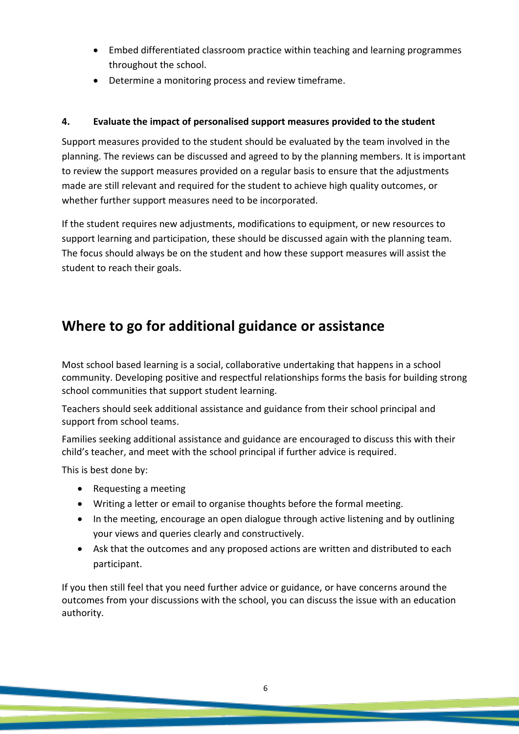- Embed differentiated classroom practice within teaching and learning programmes throughout the school.
- Determine a monitoring process and review timeframe.

#### **4. Evaluate the impact of personalised support measures provided to the student**

Support measures provided to the student should be evaluated by the team involved in the planning. The reviews can be discussed and agreed to by the planning members. It is important to review the support measures provided on a regular basis to ensure that the adjustments made are still relevant and required for the student to achieve high quality outcomes, or whether further support measures need to be incorporated.

<span id="page-7-0"></span>If the student requires new adjustments, modifications to equipment, or new resources to support learning and participation, these should be discussed again with the planning team. The focus should always be on the student and how these support measures will assist the student to reach their goals.

### **Where to go for additional guidance or assistance**

Most school based learning is a social, collaborative undertaking that happens in a school community. Developing positive and respectful relationships forms the basis for building strong school communities that support student learning.

Teachers should seek additional assistance and guidance from their school principal and support from school teams.

Families seeking additional assistance and guidance are encouraged to discuss this with their child's teacher, and meet with the school principal if further advice is required.

This is best done by:

- Requesting a meeting
- Writing a letter or email to organise thoughts before the formal meeting.
- In the meeting, encourage an open dialogue through active listening and by outlining your views and queries clearly and constructively.
- Ask that the outcomes and any proposed actions are written and distributed to each participant.

If you then still feel that you need further advice or guidance, or have concerns around the outcomes from your discussions with the school, you can discuss the issue with an education authority.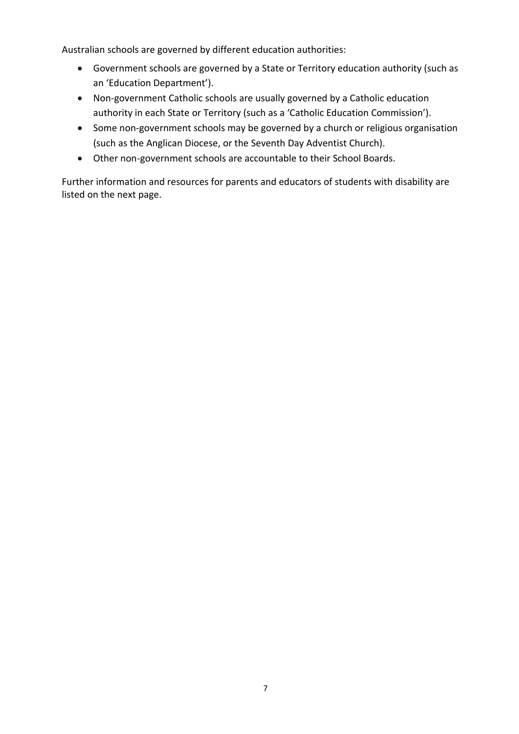Australian schools are governed by different education authorities:

- Government schools are governed by a State or Territory education authority (such as an 'Education Department').
- Non-government Catholic schools are usually governed by a Catholic education authority in each State or Territory (such as a 'Catholic Education Commission').
- Some non-government schools may be governed by a church or religious organisation (such as the Anglican Diocese, or the Seventh Day Adventist Church).
- <span id="page-8-0"></span>Other non-government schools are accountable to their School Boards.

Further information and resources for parents and educators of students with disability are listed on the next page.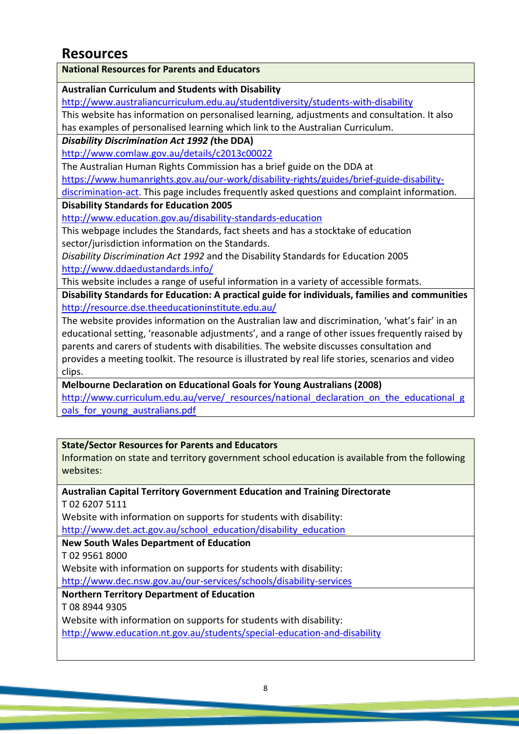### **Resources**

**National Resources for Parents and Educators**

**Australian Curriculum and Students with Disability**

<http://www.australiancurriculum.edu.au/studentdiversity/students-with-disability>

This website has information on personalised learning, adjustments and consultation. It also has examples of personalised learning which link to the Australian Curriculum.

*Disability Discrimination Act 1992 (***the DDA)**

<http://www.comlaw.gov.au/details/c2013c00022>

The Australian Human Rights Commission has a brief guide on the DDA at

[https://www.humanrights.gov.au/our-work/disability-rights/guides/brief-guide-disability-](https://www.humanrights.gov.au/our-work/disability-rights/guides/brief-guide-disability-discrimination-act)

[discrimination-act.](https://www.humanrights.gov.au/our-work/disability-rights/guides/brief-guide-disability-discrimination-act) This page includes frequently asked questions and complaint information.

**Disability Standards for Education 2005**

<http://www.education.gov.au/disability-standards-education>

This webpage includes the Standards, fact sheets and has a stocktake of education sector/jurisdiction information on the Standards.

*Disability Discrimination Act 1992* and the Disability Standards for Education 2005 <http://www.ddaedustandards.info/>

This website includes a range of useful information in a variety of accessible formats.

**Disability Standards for Education: A practical guide for individuals, families and communities** <http://resource.dse.theeducationinstitute.edu.au/>

The website provides information on the Australian law and discrimination, 'what's fair' in an educational setting, 'reasonable adjustments', and a range of other issues frequently raised by parents and carers of students with disabilities. The website discusses consultation and provides a meeting toolkit. The resource is illustrated by real life stories, scenarios and video clips.

**Melbourne Declaration on Educational Goals for Young Australians (2008)**

[http://www.curriculum.edu.au/verve/\\_resources/national\\_declaration\\_on\\_the\\_educational\\_g](http://www.curriculum.edu.au/verve/_resources/national_declaration_on_the_educational_goals_for_young_australians.pdf) oals for young australians.pdf

**State/Sector Resources for Parents and Educators** Information on state and territory government school education is available from the following websites:

 **Australian Capital Territory Government Education and Training Directorate** T 02 6207 5111 Website with information on supports for students with disability: [http://www.det.act.gov.au/school\\_education/disability\\_education](http://www.det.act.gov.au/school_education/disability_education) **New South Wales Department of Education** T 02 9561 8000 Website with information on supports for students with disability: <http://www.dec.nsw.gov.au/our-services/schools/disability-services>

**Northern Territory Department of Education**

T 08 8944 9305

Website with information on supports for students with disability:

<http://www.education.nt.gov.au/students/special-education-and-disability>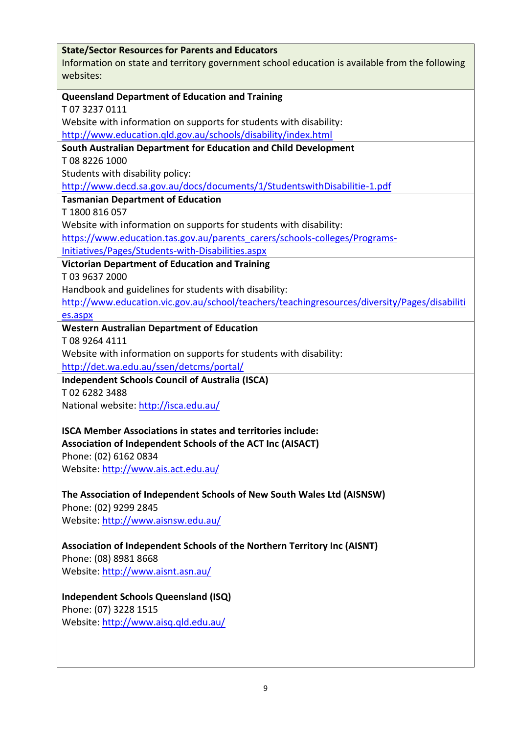|                                   | <b>State/Sector Resources for Parents and Educators</b><br>Information on state and territory government school education is available from the following |
|-----------------------------------|-----------------------------------------------------------------------------------------------------------------------------------------------------------|
| websites:                         |                                                                                                                                                           |
|                                   | <b>Queensland Department of Education and Training</b>                                                                                                    |
| T0732370111                       |                                                                                                                                                           |
|                                   | Website with information on supports for students with disability:                                                                                        |
|                                   | http://www.education.gld.gov.au/schools/disability/index.html                                                                                             |
|                                   | South Australian Department for Education and Child Development                                                                                           |
| T0882261000                       |                                                                                                                                                           |
| Students with disability policy:  |                                                                                                                                                           |
|                                   | http://www.decd.sa.gov.au/docs/documents/1/StudentswithDisabilitie-1.pdf                                                                                  |
|                                   | <b>Tasmanian Department of Education</b>                                                                                                                  |
| T1800816057                       |                                                                                                                                                           |
|                                   | Website with information on supports for students with disability:                                                                                        |
|                                   | https://www.education.tas.gov.au/parents_carers/schools-colleges/Programs-                                                                                |
|                                   | Initiatives/Pages/Students-with-Disabilities.aspx                                                                                                         |
|                                   | <b>Victorian Department of Education and Training</b>                                                                                                     |
| T0396372000                       |                                                                                                                                                           |
|                                   | Handbook and guidelines for students with disability:                                                                                                     |
|                                   | http://www.education.vic.gov.au/school/teachers/teachingresources/diversity/Pages/disabiliti                                                              |
| es.aspx                           |                                                                                                                                                           |
|                                   | <b>Western Australian Department of Education</b>                                                                                                         |
| T08 9264 4111                     |                                                                                                                                                           |
|                                   | Website with information on supports for students with disability:                                                                                        |
|                                   | http://det.wa.edu.au/ssen/detcms/portal/                                                                                                                  |
|                                   | <b>Independent Schools Council of Australia (ISCA)</b>                                                                                                    |
| T0262823488                       |                                                                                                                                                           |
|                                   | National website: http://isca.edu.au/                                                                                                                     |
|                                   | <b>ISCA Member Associations in states and territories include:</b>                                                                                        |
|                                   | Association of Independent Schools of the ACT Inc (AISACT)                                                                                                |
| Phone: (02) 6162 0834             |                                                                                                                                                           |
|                                   | Website: http://www.ais.act.edu.au/                                                                                                                       |
|                                   |                                                                                                                                                           |
|                                   | The Association of Independent Schools of New South Wales Ltd (AISNSW)                                                                                    |
| Phone: (02) 9299 2845             |                                                                                                                                                           |
|                                   | Website: http://www.aisnsw.edu.au/                                                                                                                        |
|                                   |                                                                                                                                                           |
|                                   | Association of Independent Schools of the Northern Territory Inc (AISNT)                                                                                  |
| Phone: (08) 8981 8668             |                                                                                                                                                           |
|                                   |                                                                                                                                                           |
| Website: http://www.aisnt.asn.au/ |                                                                                                                                                           |
|                                   |                                                                                                                                                           |
|                                   | <b>Independent Schools Queensland (ISQ)</b>                                                                                                               |
| Phone: (07) 3228 1515             | Website: http://www.aisq.qld.edu.au/                                                                                                                      |